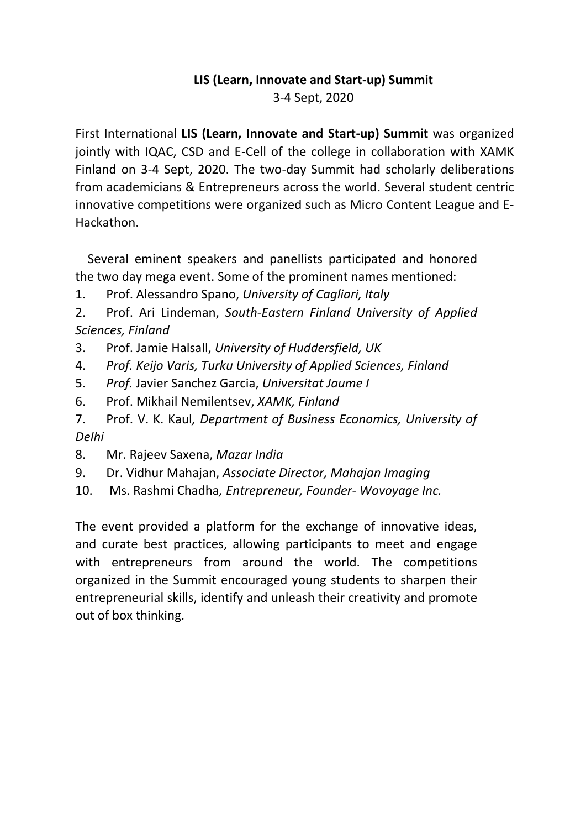## **LIS (Learn, Innovate and Start-up) Summit** 3-4 Sept, 2020

First International **LIS (Learn, Innovate and Start-up) Summit** was organized jointly with IQAC, CSD and E-Cell of the college in collaboration with XAMK Finland on 3-4 Sept, 2020. The two-day Summit had scholarly deliberations from academicians & Entrepreneurs across the world. Several student centric innovative competitions were organized such as Micro Content League and E-Hackathon.

 Several eminent speakers and panellists participated and honored the two day mega event. Some of the prominent names mentioned:

- 1. Prof. Alessandro Spano, *University of Cagliari, Italy*
- 2. Prof. Ari Lindeman, *South-Eastern Finland University of Applied Sciences, Finland*
- 3. Prof. Jamie Halsall, *University of Huddersfield, UK*
- 4. *Prof. Keijo Varis, Turku University of Applied Sciences, Finland*
- 5. *Prof.* Javier Sanchez Garcia, *Universitat Jaume I*
- 6. Prof. Mikhail Nemilentsev, *XAMK, Finland*
- 7. Prof. V. K. Kaul*, Department of Business Economics, University of Delhi*
- 8. Mr. Rajeev Saxena, *Mazar India*
- 9. Dr. Vidhur Mahajan, *Associate Director, Mahajan Imaging*
- 10. Ms. Rashmi Chadha*, Entrepreneur, Founder- Wovoyage Inc.*

The event provided a platform for the exchange of innovative ideas, and curate best practices, allowing participants to meet and engage with entrepreneurs from around the world. The competitions organized in the Summit encouraged young students to sharpen their entrepreneurial skills, identify and unleash their creativity and promote out of box thinking.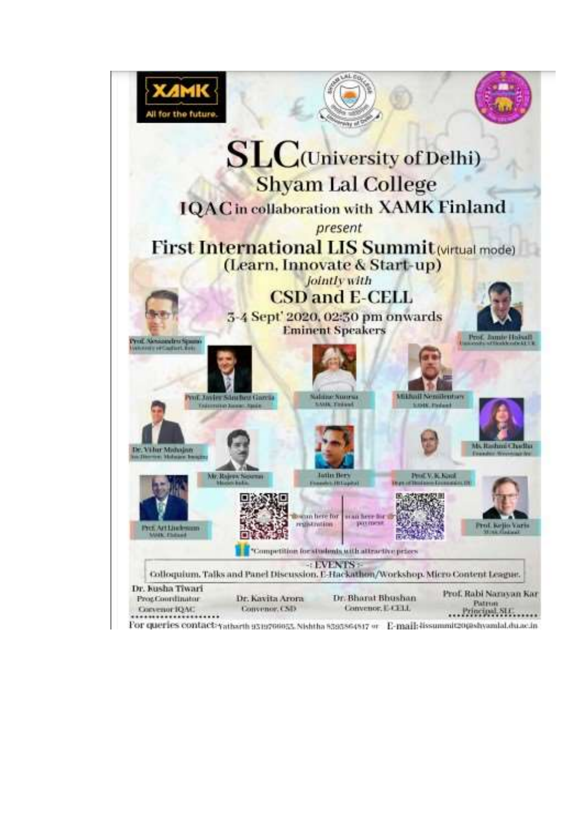

For queries contact-vatherth syngonogy, Nishtha 820364817 or E-mail: dissummit20(ashyamlal.du.ac.in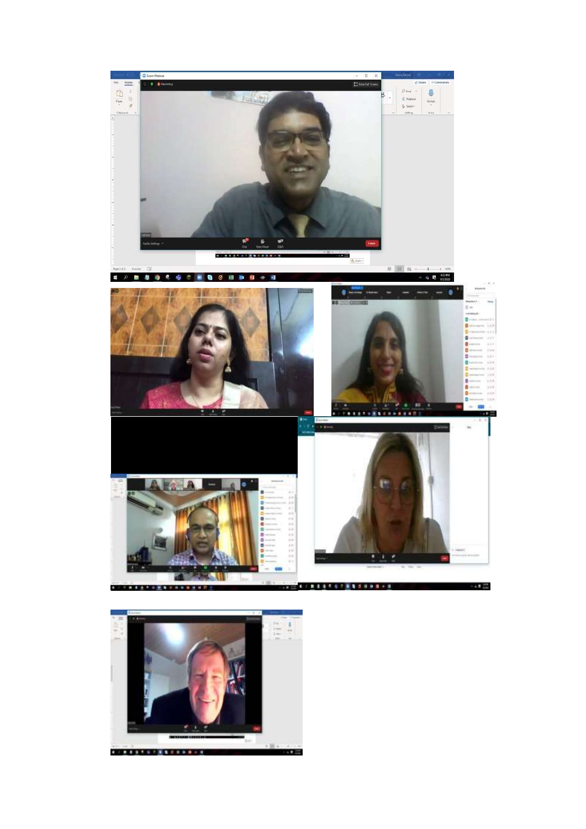